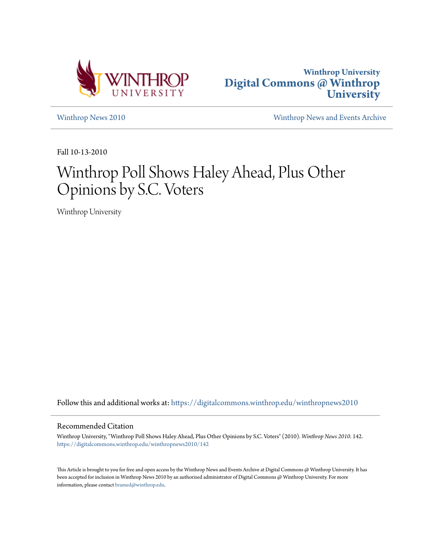



[Winthrop News 2010](https://digitalcommons.winthrop.edu/winthropnews2010?utm_source=digitalcommons.winthrop.edu%2Fwinthropnews2010%2F142&utm_medium=PDF&utm_campaign=PDFCoverPages) [Winthrop News and Events Archive](https://digitalcommons.winthrop.edu/winthropnewsarchives?utm_source=digitalcommons.winthrop.edu%2Fwinthropnews2010%2F142&utm_medium=PDF&utm_campaign=PDFCoverPages)

Fall 10-13-2010

# Winthrop Poll Shows Haley Ahead, Plus Other Opinions by S.C. Voters

Winthrop University

Follow this and additional works at: [https://digitalcommons.winthrop.edu/winthropnews2010](https://digitalcommons.winthrop.edu/winthropnews2010?utm_source=digitalcommons.winthrop.edu%2Fwinthropnews2010%2F142&utm_medium=PDF&utm_campaign=PDFCoverPages)

#### Recommended Citation

Winthrop University, "Winthrop Poll Shows Haley Ahead, Plus Other Opinions by S.C. Voters" (2010). *Winthrop News 2010*. 142. [https://digitalcommons.winthrop.edu/winthropnews2010/142](https://digitalcommons.winthrop.edu/winthropnews2010/142?utm_source=digitalcommons.winthrop.edu%2Fwinthropnews2010%2F142&utm_medium=PDF&utm_campaign=PDFCoverPages)

This Article is brought to you for free and open access by the Winthrop News and Events Archive at Digital Commons @ Winthrop University. It has been accepted for inclusion in Winthrop News 2010 by an authorized administrator of Digital Commons @ Winthrop University. For more information, please contact [bramed@winthrop.edu](mailto:bramed@winthrop.edu).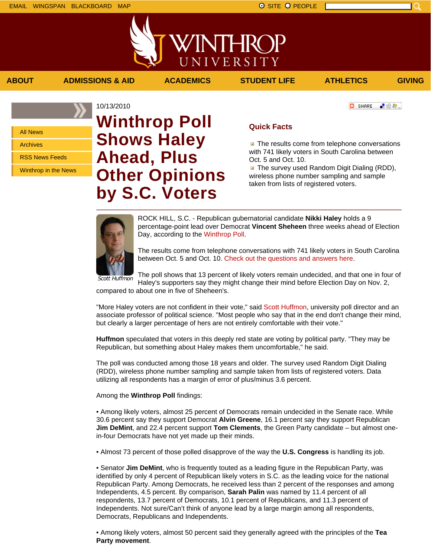All News

Archives

RSS News Feeds

Winthrop in the News

## 10/13/2010 **Winthrop Poll Shows Haley Ahead, Plus Other Opinions by S.C. Voters**

### **Quick Facts**

**The results come from telephone conversations** with 741 likely voters in South Carolina between Oct. 5 and Oct. 10.

**The survey used Random Digit Dialing (RDD),** wireless phone number sampling and sample taken from lists of registered voters.

ROCK HILL, S.C. - Republican gubernatorial candidate **Nikki Haley** holds a 9 percentage-point lead over Democrat **Vincent Sheheen** three weeks ahead of Election Day, according to the Winthrop Poll.

The results come from telephone conversations with 741 likely voters in South Carolina between Oct. 5 and Oct. 10. Check out the questions and answers here.

Scott Huffmon The poll shows that 13 percent of likely voters remain undecided, and that one in four of Haley's supporters say they might change their mind before Election Day on Nov. 2,

compared to about one in five of Sheheen's.

"More Haley voters are not confident in their vote," said Scott Huffmon, university poll director and an associate professor of political science. "Most people who say that in the end don't change their mind, but clearly a larger percentage of hers are not entirely comfortable with their vote."

**Huffmon** speculated that voters in this deeply red state are voting by political party. "They may be Republican, but something about Haley makes them uncomfortable," he said.

The poll was conducted among those 18 years and older. The survey used Random Digit Dialing (RDD), wireless phone number sampling and sample taken from lists of registered voters. Data utilizing all respondents has a margin of error of plus/minus 3.6 percent.

Among the **Winthrop Poll** findings:

• Among likely voters, almost 25 percent of Democrats remain undecided in the Senate race. While 30.6 percent say they support Democrat **Alvin Greene**, 16.1 percent say they support Republican **Jim DeMint**, and 22.4 percent support **Tom Clements**, the Green Party candidate – but almost onein-four Democrats have not yet made up their minds.

• Almost 73 percent of those polled disapprove of the way the **U.S. Congress** is handling its job.

• Senator **Jim DeMint**, who is frequently touted as a leading figure in the Republican Party, was identified by only 4 percent of Republican likely voters in S.C. as the leading voice for the national Republican Party. Among Democrats, he received less than 2 percent of the responses and among Independents, 4.5 percent. By comparison, **Sarah Palin** was named by 11.4 percent of all respondents, 13.7 percent of Democrats, 10.1 percent of Republicans, and 11.3 percent of Independents. Not sure/Can't think of anyone lead by a large margin among all respondents, Democrats, Republicans and Independents.

• Among likely voters, almost 50 percent said they generally agreed with the principles of the **Tea Party movement**.

**C** SHARE 上没有。

**ABOUT ADMISSIONS & AID ACADEMICS STUDENT LIFE ATHLETICS GIVING**

WINTHRC

UNIVERSITY